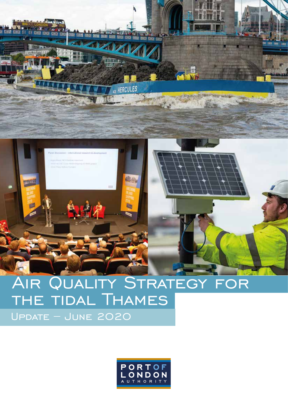

# AIR QUALITY STRATEGY FOR the tidal Thames Update – June 2020

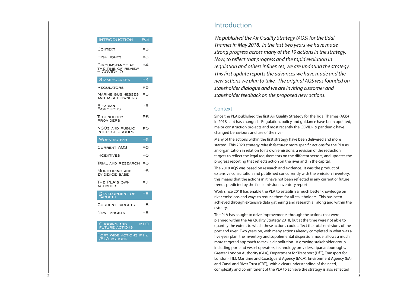Since the PLA published the first Air Quality Strategy for the Tidal Thames (AQS) in 2018 a lot has changed. Regulation, policy and guidance have been updated, major construction projects and most recently the COVID-19 pandemic have changed behaviours and use of the river.

Many of the actions within the first strategy have been delivered and more started. This 2020 strategy refresh features: more specific actions for the PLA as an organisation in relation to its own emissions; a revision of the reduction targets to reflect the legal requirements on the different sectors; and updates the progress reporting that reflects action on the river and in the capital.

The 2018 AQS was based on research and evidence. It was the product of extensive consultation and published concurrently with the emission inventory, this means that the actions in it have not been reflected in any current or future trends predicted by the final emission inventory report.

The PLA has sought to drive improvements through the actions that were planned within the Air Quality Strategy 2018, but at the time were not able to quantify the extent to which these actions could affect the total emissions of the port and river. Two years on, with many actions already completed in what was a ve-year plan, the inventory and supplemental dispersion model allows a much more targeted approach to tackle air pollution. A growing stakeholder group, including port and vessel operators, technology providers, riparian boroughs, Greater London Authority (GLA), Department for Transport (DfT), Transport for London (TfL), Maritime and Coastguard Agency (MCA), Environment Agency (EA) and Canal and River Trust (CRT), with a clear understanding of the need, complexity and commitment of the PLA to achieve the strategy is also reflected

## Introduction

*We published the Air Quality Strategy (AQS) for the tidal Thames in May 2018. In the last two years we have made strong progress across many of the 19 actions in the strategy. Now, to reflect that progress and the rapid evolution in regulation and others influences, we are updating the strategy.* This first update reports the advances we have made and the *new actions we plan to take. The original AQS was founded on stakeholder dialogue and we are inviting customer and stakeholder feedback on the proposed new actions.* 

## **Context**

Work since 2018 has enable the PLA to establish a much better knowledge on river emissions and ways to reduce them for all stakeholders. This has been achieved through extensive data gathering and research all along and within the estuary.

| <b>INTRODUCTION</b>                                  | PЗ                       |
|------------------------------------------------------|--------------------------|
| CONTEXT                                              | PЗ                       |
| HIGHLIGHTS                                           | PЗ                       |
| CIRCUMSTANCE AT<br>THE TIME OF REVIEW<br>- COVID-I 9 | P4                       |
| <b>STAKEHOLDERS</b>                                  | $\overline{\mathsf{P}4}$ |
| REGULATORS                                           | P5                       |
| <b>MARINE BUSINESSES</b><br><b>AND ASSET OWNERS</b>  | Р5                       |
| RIPARIAN<br><b>BOROUGHS</b>                          | Р5                       |
| <b>TECHNOLOGY</b><br><b>PROVIDERS</b>                | P <sub>5</sub>           |
| NGOs and public<br><b>INTEREST GROUPS</b>            | Р5                       |
| Work so far                                          | P <sub>6</sub>           |
| <b>CURRENT AOS</b>                                   | P <sub>6</sub>           |
| <b>INCENTIVES</b>                                    | Р6                       |
| Trial and research P6                                |                          |
| Monitoring and<br><b>EVIDENCE BASE</b>               | P6                       |
| THE PLA's own<br><b>ACTIVITIES</b>                   | P7                       |
| DEVELOPMENT OF<br><b>TARGETS</b>                     | $\overline{\textsf{P8}}$ |
| <b>CURRENT TARGETS</b>                               | P8                       |
| NEW TARGETS                                          | P8                       |
| <b>ONGOING AND</b><br><b>FUTURE ACTIONS</b>          | PIO                      |
| PORT WIDE ACTIONS P I 2<br><b>PLA ACTIONS</b>        |                          |
|                                                      |                          |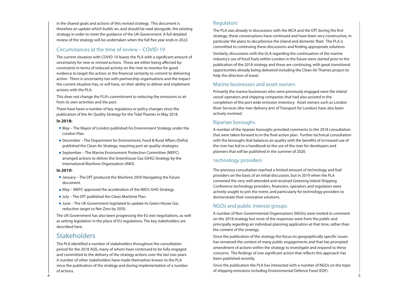Similarly, discussions with the GLA regarding the continuation of the marine industry's use of fossil fuels within London in the future were started prior to the publication of the 2018 strategy and these are continuing, with great transitional opportunities already being delivered including the Clean Air Thames project to help the direction of travel.

## Marine businesses and asset owners

Primarily the marine businesses who were previously engaged were the inland vessel operators and shipping companies that had also assisted in the completion of the port wide emission inventory. Asset owners such as London River Services (the river delivery arm of Transport for London) have also been actively involved.

## Riparian boroughs

A number of the riparian boroughs provided comments to the 2018 consultation that were taken forward to in the final action plan. Further technical consultation with the boroughs that balances air quality with the benefits of increased use of the river has led to a handbook to the use of the river for developers and planners that will be published in the summer of 2020.

Since the publication of the strategy the focus on geographically specific issues has remained the context of many public engagements and that has prompted amendment of actions within the strategy to investigate and respond to these concerns. The findings of one significant action that reflects this approach has been published recently.

## Technology providers

The previous consultation reached a limited amount of technology and fuel providers on the basis of an initial discussion, but in 2019 when the PLA convened the very well attended and received Greening Inland Shipping Conference technology providers, financiers, operators and regulators were actively sought to join the event, and particularly for technology providers to demonstrate their innovative solutions.

## NGOs and public interest groups

A number of Non-Governmental Organisations (NGOs) were invited to comment on the 2018 strategy but most of the responses were from the public and principally regarding an individual planning application at that time, rather than the content of the strategy.

Since the publication the PLA has interacted with a number of NGOs on the topic of shipping emissions including Environmental Defence Fund (EDF).

in the shared goals and actions of this revised strategy. This document is therefore an update which builds on, and should be read alongside, the existing strategy in order to meet the guidance of the UK Government. A full detailed review of the strategy will be undertaken when the full five year ends in 2022.

The current situation with COVID-19 leaves the PLA with a significant amount of uncertainty for new or revised actions. These are either being affected by: constraints in terms of reduced activity on the river to monitor for good evidence to target the action; or the financial certainty to commit to delivering action. There is uncertainty too with partnership organisations and the impact the current situation has, or will have, on their ability to deliver and implement actions with the PLA.

The PLA identified a number of stakeholders throughout the consultation period for the 2018 AQS, many of whom have continued to be fully engaged and committed to the delivery of the strategy actions over the last two years. A number of other stakeholders have made themselves known to the PLA since the publication of the strategy and during implementation of a number of actions.

## **Regulators**

The PLA was already in discussions with the MCA and the DfT during the first strategy; these conversations have continued and have been very constructive, in particular the plans to decarbonise the inland and domestic fleet. The PLA is committed to continuing these discussions and finding appropriate solutions.

## Circumstances at the time of review – COVID-19

This does not change the PLA's commitment to reducing the emissions to air from its own activities and the port.

There have been a number of key regulatory or policy changes since the publication of the Air Quality Strategy for the Tidal Thames in May 2018.

## **In 2018:**

- May The Mayor of London published his Environment Strategy under the London Plan.
- December The Department for Environment, Food & Rural Affairs (Defra) published the Clean Air Strategy, requiring port air quality strategies.
- September The Marine Environment Protection Committee (MEPC) arranged actions to deliver the Greenhouse Gas (GHG) Strategy by the International Maritime Organization (IMO).

## **In 2019:**

- January The DfT produced the Maritime 2050 Navigating the future document.
- May MEPC approved the acceleration of the IMO's GHG Strategy.
- July The DfT published the Clean Maritime Plan.
- June The UK Government legislated to update its Green House Gas reduction target to Net-Zero by 2050.

The UK Government has also been progressing the EU exit negotiations, as well as setting legislation in the place of EU regulations. The key stakeholders are described here.

## **Stakeholders**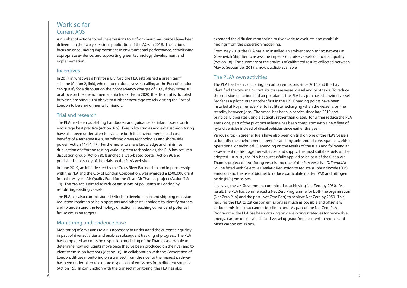In 2017 in what was a first for a UK Port, the PLA established a green tariff scheme (Action 2, link), where international vessels calling at the Port of London can qualify for a discount on their conservancy charges of 10%, if they score 30 or above on the Environmental Ship Index. From 2020, the discount is doubled for vessels scoring 50 or above to further encourage vessels visiting the Port of London to be environmentally friendly.

In June 2019, an initiative led by the Cross River Partnership and in partnership with the PLA and the City of London Corporation, was awarded a £500,000 grant from the Mayor's Air Quality Fund for the Clean Air Thames project (Action 7 & 10). The project is aimed to reduce emissions of pollutants in London by retrofitting existing vessels.

Last year, the UK Government committed to achieving Net Zero by 2050. As a result, the PLA has commenced a Net Zero Programme for both the organisation (Net Zero PLA) and the port (Net Zero Port) to achieve Net Zero by 2050. This requires the PLA to cut carbon emissions as much as possible and offset any carbon emissions that cannot be eliminated. As part of the Net Zero PLA Programme, the PLA has been working on developing strategies for renewable energy, carbon offset, vehicle and vessel upgrade/replacement to reduce and offset carbon emissions.

## Work so far Current AQS

A number of actions to reduce emissions to air from maritime sources have been delivered in the two years since publication of the AQS in 2018. The actions focus on encouraging improvement in environmental performance, establishing appropriate evidence, and supporting green technology development and implementation.

## **Incentives**

## Trial and research

The PLA has been publishing handbooks and guidance for inland operators to encourage best practice (Action 3- 5). Feasibility studies and exhaust monitoring have also been undertaken to evaluate both the environmental and cost benefits of alternative fuels, retrofitting green technologies and shore-side power (Action 11-14, 17). Furthermore, to share knowledge and minimise duplication of effort on testing various green technologies, the PLA has set up a discussion group (Action 8), launched a web-based portal (Action 9), and published case study of the trials on the PLA's website.

The PLA has also commissioned E4tech to develop an inland shipping emission reduction roadmap to help operators and other stakeholders to identify barriers and to understand the technology direction in reaching current and potential future emission targets.

## Monitoring and evidence base

Monitoring of emissions to air is necessary to understand the current air quality impact of river activities and enables subsequent tracking of progress. The PLA has completed an emission dispersion modelling of the Thames as a whole to determine how pollutants move once they've been produced on the river and to identity emission hotspots (Action 16). In collaboration with the Corporation of London, diffuse monitoring on a transect from the river to the nearest pathway has been undertaken to explore dispersion of emissions from different sources (Action 15). In conjunction with the transect monitoring, the PLA has also

extended the diffusion monitoring to river wide to evaluate and establish findings from the dispersion modelling.

From May 2019, the PLA has also installed an ambient monitoring network at Greenwich Ship Tier to assess the impacts of cruise vessels on local air quality (Action 18). The summary of the analysis of calibrated results collected between May to September 2019 is now publicly available.

## The PLA's own activities

The PLA has been calculating its carbon emissions since 2014 and this has identified the two major contributors are vessel diesel and pilot taxis. To reduce the emission of carbon and air pollutants, the PLA has purchased a hybrid vessel Leader as a pilot cutter, another first in the UK. Charging points have been installed at Royal Terrace Pier to facilitate recharging when the vessel is on the standby between jobs. The vessel has been in service since late 2019 and principally operates using electricity rather than diesel. To further reduce the PLA emissions, part of the pilot taxi mileage has been completed with a new fleet of hybrid vehicles instead of diesel vehicles since earlier this year.

Various drop-in greener fuels have also been on trial on one of the PLA's vessels to identify the environmental benefits and any unintended consequences, either operational or technical. Depending on the results of the trials and following an assessment of this, together with cost and supply, the most suitable fuels will be adopted. In 2020, the PLA has successfully applied to be part of the Clean Air Thames project to retrofitting vessels and one of the PLA vessels – *Driftwood II* will be fitted with Selective Catalytic Reduction to reduce sulphur dioxide (SO2) emission and the use of biofuel to reduce particulate matter (PM) and nitrogen oxide (NOx) emissions.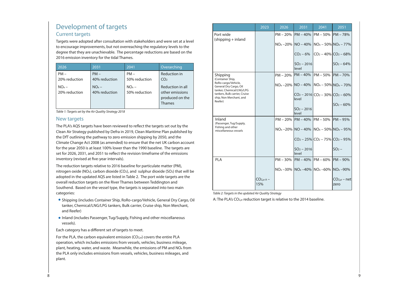For the PLA, the carbon equivalent emission  $(CO_{2,e})$  covers the entire PLA operation, which includes emissions from vessels, vehicles, business mileage, plant, heating, water, and waste. Meanwhile, the emissions of PM and NOx from the PLA only includes emissions from vessels, vehicles, business mileages, and plant.

## Development of targets Current targets

Targets were adopted after consultation with stakeholders and were set at a level to encourage improvements, but not overreaching the regulatory levels to the degree that they are unachievable. The percentage reductions are based on the 2016 emission inventory for the tidal Thames.

## New targets

The PLA's AQS targets have been reviewed to reflect the targets set out by the Clean Air Strategy published by Defra in 2019, Clean Maritime Plan published by the DfT outlining the pathway to zero emission shipping by 2050, and the Climate Change Act 2008 (as amended) to ensure that the net UK carbon account for the year 2050 is at least 100% lower than the 1990 baseline. The targets are set for 2026, 2031, and 2051 to reflect the revision timeframe of the emissions inventory (revised at five-year intervals).

The reduction targets relative to 2016 baseline for particulate matter (PM), nitrogen oxide (NOx), carbon dioxide (CO2), and sulphur dioxide (SO2) that will be adopted in the updated AQS are listed in Table 2. The port wide targets are the overall reduction targets on the River Thames between Teddington and Southend. Based on the vessel type, the targets is separated into two main categories:

- Shipping (includes Container Ship, RoRo-cargo/Vehicle, General Dry Cargo, Oil tanker, Chemical/LNG/LPG tankers, Bulk carrier, Cruise ship, Non Merchant, and Reefer)
- Inland (includes Passenger, Tug/Supply, Fishing and other miscellaneous vessels).

Each category has a different set of targets to meet.

| 2026                     | 2031                     | 2041                     | Overarching                                                      |
|--------------------------|--------------------------|--------------------------|------------------------------------------------------------------|
| $PM -$<br>20% reduction  | $PM -$<br>40% reduction  | $PM -$<br>50% reduction  | <b>Reduction in</b><br>CO <sub>2</sub>                           |
| $NOx -$<br>20% reduction | $NOx -$<br>40% reduction | $NOx -$<br>50% reduction | Reduction in all<br>other emissions<br>produced on the<br>Thames |

*Table 1: Targets set by the Air Quality Strategy 2018*

|  |                                                                           | 2023               | 2026 | 2031                                                  | 2041                                 | 2051                |
|--|---------------------------------------------------------------------------|--------------------|------|-------------------------------------------------------|--------------------------------------|---------------------|
|  | Port wide<br>$\varepsilon$ (shipping + inland                             |                    |      | PM - 20%  PM - 40%  PM - 50%  PM - 78                 |                                      |                     |
|  |                                                                           |                    |      | $NOx - 20\%$ $NO - 40\%$ $NOx - 50\%$ $NOx - 7$       |                                      |                     |
|  |                                                                           |                    |      |                                                       | $CO2 - 6\%$ $CO2 - 40\%$ $CO2 - 6\%$ |                     |
|  |                                                                           |                    |      | $SO_2 - 2016$<br>level                                |                                      | $SO2 - 64$          |
|  | Shipping<br>(Container Ship,                                              |                    |      | PM - 20% PM - 40% PM - 50% PM - 70                    |                                      |                     |
|  | RoRo-cargo/Vehicle,<br>General Dry Cargo, Oil<br>tanker, Chemical/LNG/LPG |                    |      | $NO_{x}$ –20% $NO - 40\%$ $NO_{x}$ – 50% $NO_{x}$ – 7 |                                      |                     |
|  | tankers, Bulk carrier, Cruise<br>ship, Non Merchant, and                  |                    |      | level                                                 | $CO2 - 2016$ $CO2 - 30%$ $CO2 - 60$  |                     |
|  | Reefer)                                                                   |                    |      | $SO2 - 2016$                                          |                                      | $SO2 - 60$          |
|  |                                                                           |                    |      | level                                                 |                                      |                     |
|  | Inland<br>(Passenger, Tug/Supply,                                         |                    |      | PM - 20% PM - 40% PM - 50% PM - 95                    |                                      |                     |
|  | Fishing and other<br>miscellaneous vessels                                |                    |      | $NOx - 20\%$ $NO - 40\%$ $NOx - 50\%$ $NOx - 9$       |                                      |                     |
|  |                                                                           |                    |      |                                                       | $CO2 - 25\%$ $CO2 - 75\%$ $CO2 - 9$  |                     |
|  |                                                                           |                    |      | $SO_2 - 2016$<br>level                                |                                      | SO <sub>2</sub>     |
|  | <b>PLA</b>                                                                |                    |      | PM - 30% PM - 40% PM - 60% PM - 90                    |                                      |                     |
|  |                                                                           |                    |      | $NOx - 30\%$ $NOx - 40\%$ $NOx - 60\%$ $NOx - 90$     |                                      |                     |
|  |                                                                           | $CO2,e$ A -<br>15% |      |                                                       |                                      | $CO2,e - 1$<br>zero |

|               | $\overline{2041}$                                 | 2051                  |
|---------------|---------------------------------------------------|-----------------------|
| $\%$          | PM – 50%                                          | $PM - 78%$            |
| $\frac{0}{0}$ | $NOx - 50\%$ $NOx - 77\%$                         |                       |
| $\frac{1}{2}$ | $CO2 - 40\%$ $CO2 - 68\%$                         |                       |
| 16            |                                                   | $SO2 - 64%$           |
| $\frac{1}{2}$ | PM – 50% PM – 70%                                 |                       |
| $\%$          | $NOx - 50\%$ $NOx - 70\%$                         |                       |
|               | $16 CO_2 - 30\% CO_2 - 60\%$                      |                       |
| 16            |                                                   | $SO_2 - 60\%$         |
| $\%$          | $PM - 50%$                                        | $PM - 95%$            |
| $\%$          | $NOx - 50\%$ $NOx - 95\%$                         |                       |
|               | $5\%$ CO <sub>2</sub> – 75% CO <sub>2</sub> – 95% |                       |
| 16            |                                                   | $SO2$ –               |
| $\%$          | PM – 60%                                          | PM – 90%              |
|               | %   NO <sub>x</sub> –60%   NO <sub>x</sub> –90%   |                       |
|               |                                                   | $CO2,e - net$<br>zero |

*Table 2: Targets in the updated Air Quality Strategy*

A: The PLA's CO2,e reduction target is relative to the 2014 baseline.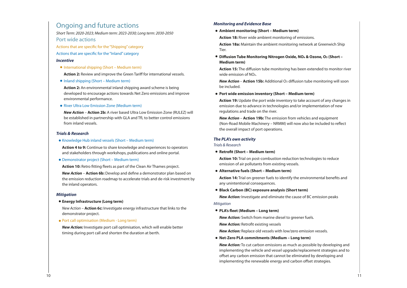**New Action – Action 6b:** Develop and define a demonstrator plan based on the emission reduction roadmap to accelerate trials and de-risk investment by the inland operators.

**Action 15:** The diffusion tube monitoring has been extended to monitor river wide emission of NOx.

**New Action – Action 15b:** Additional O<sub>3</sub> diffusion tube monitoring will soon be included.

**Action 14:** Trial on greener fuels to identify the environmental benefits and any unintentional consequences.

*New Action:* Switch from marine diesel to greener fuels. *New Action:* Retrofit existing vessels

*New Action:* To cut carbon emissions as much as possible by developing and implementing the vehicle and vessel upgrade/replacement strategies and to offset any carbon emission that cannot be eliminated by developing and implementing the renewable energy and carbon offset strategies.

## Ongoing and future actions

*Short Term: 2020-2023; Medium term: 2023-2030; Long term: 2030-2050* Port wide actions

Actions that are specific for the "Shipping" category

Actions that are specific for the "Inland" category

#### *Incentive*

**International shipping (Short - Medium term)** 

**Action 2:** Review and improve the Green Tariff for international vessels.

**• Inland shipping (Short – Medium term)** 

**Action 2:** An environmental inland shipping award scheme is being developed to encourage actions towards Net Zero emissions and improve environmental performance.

**• River Ultra Low Emission Zone (Medium term)** 

*New Action* – **Action 2b:** A river based Ultra Low Emission Zone (RULEZ) will be established in partnership with GLA and TfL to better control emissions from inland vessels.

### *Trials & Research*

**Action 4 to 9:** Continue to share knowledge and experiences to operators and stakeholders through workshops, publications and online portal.

Knowledge Hub inland vessels (Short – Medium term)

#### *Mitigation*

Demonstrator project (Short – Medium term)

**Action 10:** Retro fitting fleets as part of the Clean Air Thames project.

*New Action* – **Action 6c:** Investigate energy infrastructure that links to the demonstrator project.

#### **Energy Infrastructure (Long term)**

Port call optimisation (Medium - Long term)

*New Action:* Investigate port call optimisation, which will enable better timing during port call and shorten the duration at berth.

### *Monitoring and Evidence Base*

**Action 18:** River wide ambient monitoring of emissions.

**Action 18a:** Maintain the ambient monitoring network at Greenwich Ship Tier.

**Diffusion Tube Monitoring Nitrogen Oxide, NOx & Ozone, O3 (Short – Medium term)**

**Action 19:** Update the port wide inventory to take account of any changes in emission due to advance in technologies and/or implementation of new regulations and trade on the river.

*New Action* – **Action 19b:** The emission from vehicles and equipment (Non-Road Mobile Machinery – NRMM) will now also be included to reflect the overall impact of port operations.

### *The PLA's own activity*

*Trials & Research*

**Ambient monitoring (Short – Medium term)**

**Action 10:** Trial on post-combustion reduction technologies to reduce emission of air pollutants from existing vessels.

**Port wide emission inventory (Short – Medium term)**

*New Action:* Investigate and eliminate the cause of BC emission peaks

*Mitigation*

**Retrofit (Short – Medium term)**

**Alternative fuels (Short – Medium term)**

*New Action:* Replace old vessels with low/zero emission vessels.

**Black Carbon (BC) exposure analysis (Short term)**

**Net-Zero PLA commitments (Medium – Long term)**

**PLA's fleet (Medium – Long term)**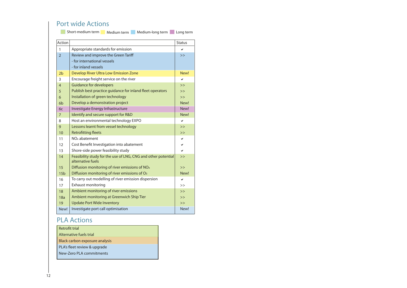## Port wide Actions

**Short-medium term** Medium term Medium-long term Long term

| Action          |                                                                                    | <b>Status</b> |
|-----------------|------------------------------------------------------------------------------------|---------------|
| 1               | Appropriate standards for emission                                                 | ✓             |
| $\overline{2}$  | Review and improve the Green Tariff                                                | >>            |
|                 | - for international vessels                                                        |               |
|                 | - for inland vessels                                                               |               |
| 2 <sub>b</sub>  | Develop River Ultra Low Emission Zone                                              | New!          |
| 3               | Encourage freight service on the river                                             | ✓             |
| $\overline{4}$  | <b>Guidance for developers</b>                                                     | >>            |
| 5               | Publish best practice guidance for inland fleet operators                          | >>            |
| 6               | Installation of green technology                                                   | >>            |
| 6 <sub>b</sub>  | Develop a demonstration project                                                    | New!          |
| 6c              | Investigate Energy Infrastructure                                                  | New!          |
| $\overline{7}$  | Identify and secure support for R&D                                                | New!          |
| 8               | Host an environmental technology EXPO                                              | ✓             |
| 9               | Lessons learnt from vessel technology                                              | >>            |
| 10              | <b>Retrofitting fleets</b>                                                         | >>            |
| 11              | NO <sub>x</sub> abatement                                                          | ✔             |
| 12              | Cost Benefit Investigation into abatement                                          | ✓             |
| 13              | Shore-side power feasibility study                                                 | $\checkmark$  |
| 14              | Feasibility study for the use of LNG, CNG and other potential<br>alternative fuels | >>            |
| 15              | Diffusion monitoring of river emissions of $NOx$                                   | >>            |
| 15 <sub>b</sub> | Diffusion monitoring of river emissions of O <sub>3</sub>                          | New!          |
| 16              | To carry out modelling of river emission dispersion                                | ✓             |
| 17              | <b>Exhaust monitoring</b>                                                          | >>            |
| 18              | Ambient monitoring of river emissions                                              | >>            |
| 18a             | Ambient monitoring at Greenwich Ship Tier                                          | >>            |
| 19              | <b>Update Port Wide Inventory</b>                                                  | >>            |
| New!            | Investigate port call optimisation                                                 | New!          |

## PLA Actions